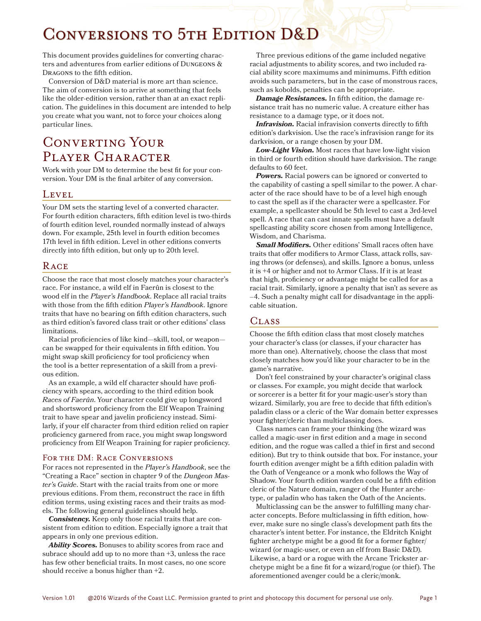# CONVERSIONS TO 5TH EDITION D&D

This document provides guidelines for converting characters and adventures from earlier editions of Dungeons & Dragons to the fifth edition.

Conversion of D&D material is more art than science. The aim of conversion is to arrive at something that feels like the older-edition version, rather than at an exact replication. The guidelines in this document are intended to help you create what you want, not to force your choices along particular lines.

## Converting Your PLAYER CHARACTER

Work with your DM to determine the best fit for your conversion. Your DM is the final arbiter of any conversion.

## **LEVEL**

Your DM sets the starting level of a converted character. For fourth edition characters, fifth edition level is two-thirds of fourth edition level, rounded normally instead of always down. For example, 25th level in fourth edition becomes 17th level in fifth edition. Level in other editions converts directly into fifth edition, but only up to 20th level.

## **RACE**

Choose the race that most closely matches your character's race. For instance, a wild elf in Faerûn is closest to the wood elf in the *Player's Handbook*. Replace all racial traits with those from the fifth edition *Player's Handbook*. Ignore traits that have no bearing on fifth edition characters, such as third edition's favored class trait or other editions' class limitations.

Racial proficiencies of like kind—skill, tool, or weapon can be swapped for their equivalents in fifth edition. You might swap skill proficiency for tool proficiency when the tool is a better representation of a skill from a previous edition.

As an example, a wild elf character should have proficiency with spears, according to the third edition book *Races of Faerûn*. Your character could give up longsword and shortsword proficiency from the Elf Weapon Training trait to have spear and javelin proficiency instead. Similarly, if your elf character from third edition relied on rapier proficiency garnered from race, you might swap longsword proficiency from Elf Weapon Training for rapier proficiency.

## FOR THE DM: RACE CONVERSIONS

For races not represented in the *Player's Handbook*, see the "Creating a Race" section in chapter 9 of the *Dungeon Master's Guide*. Start with the racial traits from one or more previous editions. From them, reconstruct the race in fifth edition terms, using existing races and their traits as models. The following general guidelines should help.

*Consistency.* Keep only those racial traits that are consistent from edition to edition. Especially ignore a trait that appears in only one previous edition.

*Ability Scores.* Bonuses to ability scores from race and subrace should add up to no more than +3, unless the race has few other beneficial traits. In most cases, no one score should receive a bonus higher than +2.

Three previous editions of the game included negative racial adjustments to ability scores, and two included racial ability score maximums and minimums. Fifth edition avoids such parameters, but in the case of monstrous races, such as kobolds, penalties can be appropriate.

*Damage Resistances.* In fifth edition, the damage resistance trait has no numeric value. A creature either has resistance to a damage type, or it does not.

*Infravision.* Racial infravision converts directly to fifth edition's darkvision. Use the race's infravision range for its darkvision, or a range chosen by your DM.

*Low-Light Vision.* Most races that have low-light vision in third or fourth edition should have darkvision. The range defaults to 60 feet.

*Powers.* Racial powers can be ignored or converted to the capability of casting a spell similar to the power. A character of the race should have to be of a level high enough to cast the spell as if the character were a spellcaster. For example, a spellcaster should be 5th level to cast a 3rd-level spell. A race that can cast innate spells must have a default spellcasting ability score chosen from among Intelligence, Wisdom, and Charisma.

Small Modifiers. Other editions' Small races often have traits that offer modifiers to Armor Class, attack rolls, saving throws (or defenses), and skills. Ignore a bonus, unless it is +4 or higher and not to Armor Class. If it is at least that high, proficiency or advantage might be called for as a racial trait. Similarly, ignore a penalty that isn't as severe as –4. Such a penalty might call for disadvantage in the applicable situation.

## CL<sub>ASS</sub>

Choose the fifth edition class that most closely matches your character's class (or classes, if your character has more than one). Alternatively, choose the class that most closely matches how you'd like your character to be in the game's narrative.

Don't feel constrained by your character's original class or classes. For example, you might decide that warlock or sorcerer is a better fit for your magic-user's story than wizard. Similarly, you are free to decide that fifth edition's paladin class or a cleric of the War domain better expresses your fighter/cleric than multiclassing does.

Class names can frame your thinking (the wizard was called a magic-user in first edition and a mage in second edition, and the rogue was called a thief in first and second edition). But try to think outside that box. For instance, your fourth edition avenger might be a fifth edition paladin with the Oath of Vengeance or a monk who follows the Way of Shadow. Your fourth edition warden could be a fifth edition cleric of the Nature domain, ranger of the Hunter archetype, or paladin who has taken the Oath of the Ancients.

Multiclassing can be the answer to fulfilling many character concepts. Before multiclassing in fifth edition, however, make sure no single class's development path fits the character's intent better. For instance, the Eldritch Knight fighter archetype might be a good fit for a former fighter/ wizard (or magic-user, or even an elf from Basic D&D). Likewise, a bard or a rogue with the Arcane Trickster archetype might be a fine fit for a wizard/rogue (or thief). The aforementioned avenger could be a cleric/monk.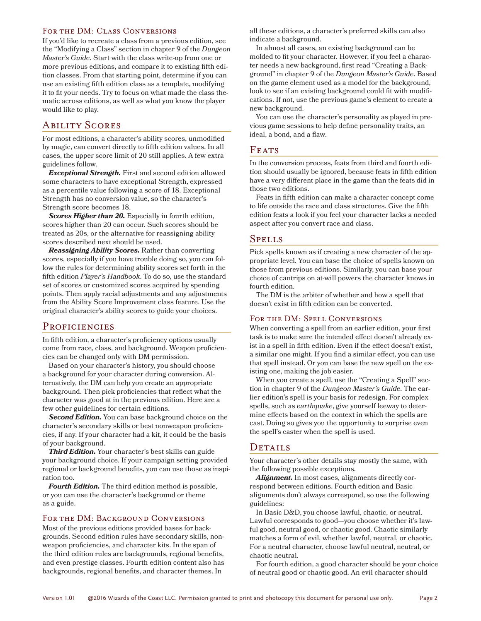#### FOR THE DM: CLASS CONVERSIONS

If you'd like to recreate a class from a previous edition, see the "Modifying a Class" section in chapter 9 of the *Dungeon Master's Guide*. Start with the class write-up from one or more previous editions, and compare it to existing fifth edition classes. From that starting point, determine if you can use an existing fifth edition class as a template, modifying it to fit your needs. Try to focus on what made the class thematic across editions, as well as what you know the player would like to play.

## Ability Scores

For most editions, a character's ability scores, unmodified by magic, can convert directly to fifth edition values. In all cases, the upper score limit of 20 still applies. A few extra guidelines follow.

*Exceptional Strength.* First and second edition allowed some characters to have exceptional Strength, expressed as a percentile value following a score of 18. Exceptional Strength has no conversion value, so the character's Strength score becomes 18.

*Scores Higher than 20.* Especially in fourth edition, scores higher than 20 can occur. Such scores should be treated as 20s, or the alternative for reassigning ability scores described next should be used.

*Reassigning Ability Scores.* Rather than converting scores, especially if you have trouble doing so, you can follow the rules for determining ability scores set forth in the fifth edition *Player's Handbook*. To do so, use the standard set of scores or customized scores acquired by spending points. Then apply racial adjustments and any adjustments from the Ability Score Improvement class feature. Use the original character's ability scores to guide your choices.

#### PROFICIENCIES

In fifth edition, a character's proficiency options usually come from race, class, and background. Weapon proficiencies can be changed only with DM permission.

Based on your character's history, you should choose a background for your character during conversion. Alternatively, the DM can help you create an appropriate background. Then pick proficiencies that reflect what the character was good at in the previous edition. Here are a few other guidelines for certain editions.

*Second Edition.* You can base background choice on the character's secondary skills or best nonweapon proficiencies, if any. If your character had a kit, it could be the basis of your background.

*Third Edition.* Your character's best skills can guide your background choice. If your campaign setting provided regional or background benefits, you can use those as inspiration too.

*Fourth Edition.* The third edition method is possible, or you can use the character's background or theme as a guide.

#### FOR THE DM: BACKGROUND CONVERSIONS

Most of the previous editions provided bases for backgrounds. Second edition rules have secondary skills, nonweapon proficiencies, and character kits. In the span of the third edition rules are backgrounds, regional benefits, and even prestige classes. Fourth edition content also has backgrounds, regional benefits, and character themes. In

all these editions, a character's preferred skills can also indicate a background.

In almost all cases, an existing background can be molded to fit your character. However, if you feel a character needs a new background, first read "Creating a Background" in chapter 9 of the *Dungeon Master's Guide*. Based on the game element used as a model for the background, look to see if an existing background could fit with modifications. If not, use the previous game's element to create a new background.

You can use the character's personality as played in previous game sessions to help define personality traits, an ideal, a bond, and a flaw.

## FEATS

In the conversion process, feats from third and fourth edition should usually be ignored, because feats in fifth edition have a very different place in the game than the feats did in those two editions.

Feats in fifth edition can make a character concept come to life outside the race and class structures. Give the fifth edition feats a look if you feel your character lacks a needed aspect after you convert race and class.

#### Spells

Pick spells known as if creating a new character of the appropriate level. You can base the choice of spells known on those from previous editions. Similarly, you can base your choice of cantrips on at-will powers the character knows in fourth edition.

The DM is the arbiter of whether and how a spell that doesn't exist in fifth edition can be converted.

#### FOR THE DM: SPELL CONVERSIONS

When converting a spell from an earlier edition, your first task is to make sure the intended effect doesn't already exist in a spell in fifth edition. Even if the effect doesn't exist, a similar one might. If you find a similar effect, you can use that spell instead. Or you can base the new spell on the existing one, making the job easier.

When you create a spell, use the "Creating a Spell" section in chapter 9 of the *Dungeon Master's Guide*. The earlier edition's spell is your basis for redesign. For complex spells, such as *earthquake*, give yourself leeway to determine effects based on the context in which the spells are cast. Doing so gives you the opportunity to surprise even the spell's caster when the spell is used.

#### DETAILS

Your character's other details stay mostly the same, with the following possible exceptions.

*Alignment.* In most cases, alignments directly correspond between editions. Fourth edition and Basic alignments don't always correspond, so use the following guidelines:

In Basic D&D, you choose lawful, chaotic, or neutral. Lawful corresponds to good—you choose whether it's lawful good, neutral good, or chaotic good. Chaotic similarly matches a form of evil, whether lawful, neutral, or chaotic. For a neutral character, choose lawful neutral, neutral, or chaotic neutral.

For fourth edition, a good character should be your choice of neutral good or chaotic good. An evil character should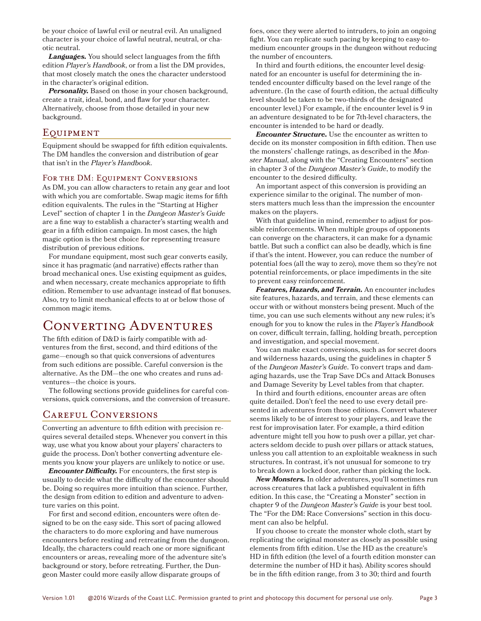be your choice of lawful evil or neutral evil. An unaligned character is your choice of lawful neutral, neutral, or chaotic neutral.

*Languages.* You should select languages from the fifth edition *Player's Handbook*, or from a list the DM provides, that most closely match the ones the character understood in the character's original edition.

*Personality.* Based on those in your chosen background, create a trait, ideal, bond, and flaw for your character. Alternatively, choose from those detailed in your new background.

## **EQUIPMENT**

Equipment should be swapped for fifth edition equivalents. The DM handles the conversion and distribution of gear that isn't in the *Player's Handbook*.

#### FOR THE DM: EQUIPMENT CONVERSIONS

As DM, you can allow characters to retain any gear and loot with which you are comfortable. Swap magic items for fifth edition equivalents. The rules in the "Starting at Higher Level" section of chapter 1 in the *Dungeon Master's Guide* are a fine way to establish a character's starting wealth and gear in a fifth edition campaign. In most cases, the high magic option is the best choice for representing treasure distribution of previous editions.

For mundane equipment, most such gear converts easily, since it has pragmatic (and narrative) effects rather than broad mechanical ones. Use existing equipment as guides, and when necessary, create mechanics appropriate to fifth edition. Remember to use advantage instead of flat bonuses. Also, try to limit mechanical effects to at or below those of common magic items.

## Converting Adventures

The fifth edition of D&D is fairly compatible with adventures from the first, second, and third editions of the game—enough so that quick conversions of adventures from such editions are possible. Careful conversion is the alternative. As the DM—the one who creates and runs adventures—the choice is yours.

The following sections provide guidelines for careful conversions, quick conversions, and the conversion of treasure.

## Careful Conversions

Converting an adventure to fifth edition with precision requires several detailed steps. Whenever you convert in this way, use what you know about your players' characters to guide the process. Don't bother converting adventure elements you know your players are unlikely to notice or use.

*Encounter Difficulty.* For encounters, the first step is usually to decide what the difficulty of the encounter should be. Doing so requires more intuition than science. Further, the design from edition to edition and adventure to adventure varies on this point.

For first and second edition, encounters were often designed to be on the easy side. This sort of pacing allowed the characters to do more exploring and have numerous encounters before resting and retreating from the dungeon. Ideally, the characters could reach one or more significant encounters or areas, revealing more of the adventure site's background or story, before retreating. Further, the Dungeon Master could more easily allow disparate groups of

foes, once they were alerted to intruders, to join an ongoing fight. You can replicate such pacing by keeping to easy-tomedium encounter groups in the dungeon without reducing the number of encounters.

In third and fourth editions, the encounter level designated for an encounter is useful for determining the intended encounter difficulty based on the level range of the adventure. (In the case of fourth edition, the actual difficulty level should be taken to be two-thirds of the designated encounter level.) For example, if the encounter level is 9 in an adventure designated to be for 7th-level characters, the encounter is intended to be hard or deadly.

*Encounter Structure.* Use the encounter as written to decide on its monster composition in fifth edition. Then use the monsters' challenge ratings, as described in the *Monster Manual*, along with the "Creating Encounters" section in chapter 3 of the *Dungeon Master's Guide*, to modify the encounter to the desired difficulty.

An important aspect of this conversion is providing an experience similar to the original. The number of monsters matters much less than the impression the encounter makes on the players.

With that guideline in mind, remember to adjust for possible reinforcements. When multiple groups of opponents can converge on the characters, it can make for a dynamic battle. But such a conflict can also be deadly, which is fine if that's the intent. However, you can reduce the number of potential foes (all the way to zero), move them so they're not potential reinforcements, or place impediments in the site to prevent easy reinforcement.

*Features, Hazards, and Terrain.* An encounter includes site features, hazards, and terrain, and these elements can occur with or without monsters being present. Much of the time, you can use such elements without any new rules; it's enough for you to know the rules in the *Player's Handbook* on cover, difficult terrain, falling, holding breath, perception and investigation, and special movement.

You can make exact conversions, such as for secret doors and wilderness hazards, using the guidelines in chapter 5 of the *Dungeon Master's Guide*. To convert traps and damaging hazards, use the Trap Save DCs and Attack Bonuses and Damage Severity by Level tables from that chapter.

In third and fourth editions, encounter areas are often quite detailed. Don't feel the need to use every detail presented in adventures from those editions. Convert whatever seems likely to be of interest to your players, and leave the rest for improvisation later. For example, a third edition adventure might tell you how to push over a pillar, yet characters seldom decide to push over pillars or attack statues, unless you call attention to an exploitable weakness in such structures. In contrast, it's not unusual for someone to try to break down a locked door, rather than picking the lock.

*New Monsters.* In older adventures, you'll sometimes run across creatures that lack a published equivalent in fifth edition. In this case, the "Creating a Monster" section in chapter 9 of the *Dungeon Master's Guide* is your best tool. The "For the DM: Race Conversions" section in this document can also be helpful.

If you choose to create the monster whole cloth, start by replicating the original monster as closely as possible using elements from fifth edition. Use the HD as the creature's HD in fifth edition (the level of a fourth edition monster can determine the number of HD it has). Ability scores should be in the fifth edition range, from 3 to 30; third and fourth